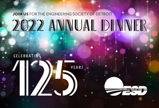# 2022 ANNUAL DINNER JOIN US FOR THE ENGINEERING SOCIETY OF DETROIT

ELEBRATING VEAR **CELEBRATING** 

YEARS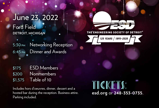## June 23, 2022 Ford Field **DETROIT, MICHIGAN**

5:30 PM | Networking Reception 6:45 **PM** Dinner and Awards

\$175 ESD Members \$200 Nonmembers \$1,575 Table of 10

Includes hors d'oeuvres, dinner, dessert and a hosted bar during the reception. Business attire. Parking included.

**ETROIT®** IEERING SOCIE



TICKETS: **esd.org** or **248-353-0735**.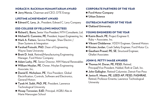#### HORACE H. RACKHAM HUMANITARIAN AWARD

■ **Jerry Norcia**, Chairman and CEO, DTE Energy

#### LIFETIME ACHIEVEMENT AWARD

û **Edward C. Levy, Jr.**, President, Edward C. Levy Company

#### ESD COLLEGE OF FELLOWS INDUCTEES

- û **Richard L. Burns,** Senior Vice President, NTH Consultants, Ltd.
- Michael G. Cummins, PE, President, Impact Engineering, Inc.
- Mark A. Fetters, Service Manager, Shaw Electric / Shaw Systems & Integration
- **Farshad Fotouhi, PhD**, Dean of Engineering, Wayne State University
- **Brett D. Irick**, Retired/Manufacturing Engineering Manager, Ford Motor Company
- Adam Larky, PE, Senior Director, NW Natural Renewables
- William Moylan, PE, Owner, Moylan Engineering Associate, Inc.
- **Daniel E. Nicholson, PE**, Vice President, Global Electrification, Controls, Software and Electronics, General Motors
- Tarek M. Sobh, PhD, PE, President, Lawrence Technological University
- **Hosep Torossian, EdD**, Principal, AGBU Alex & Marie Manoogian School

#### CORPORATE PARTNERS OF THE YEAR

- û **Ford Motor Company**
- û **Urban Science**

#### OUTREACH PARTNER OF THE YEAR

û **Oakland University** 

#### YOUNG ENGINEERS OF THE YEAR

- û **Katrin Bosch, PE**, Project Engineer II, Ruby + Associates, Inc.
- û **Vikrant Chiddarwar**, VDDV Engineer, General Motors
- û **Kirsten Jordan**, Crash Safety Engineer, Ford Motor Co.
- û **Gautham Prasad, PE, SE**, Structural Engineer, Ghafari Associates

#### JOHN G. PETTY IMAGE AWARDS

- **Thomas M. Doran, PE, FESD, Retired.** Principal/Vice President, Hubbel, Roth & Clark, Inc.
- û **John Gallagher**, Retired Columnist, *Detroit Free Press*
- Janice K. Means, PE, LEED AP, FESD, FASHRAE, Retired, Professor Emerita, Lawrence Technological University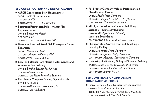#### ESD CONSTRUCTION AND DESIGN AWARDS

- **AUCH Construction New Headquarters OWNER:** *AUCH Construction* **DESIGNER:** *HED* **CONTRACTOR:** *AUCH Construction*
- Beaumont Farmington Hills Master Plan **Implementation OWNER:** *Beaumont Health* **DESIGNER:** *HKS* **CONTRACTOR:** *Barton Malow/AIMS*
- Beaumont Hospital Royal Oak Emergency Center **Expansion**

**OWNER:** *Beaumont Health* **DESIGNER:** *FreemanWhite & HED* **CONTRACTOR:** *Barton Malow*

- **Edsel and Eleanor Ford House Visitor Center and Administration Building OWNER:** *Edsel & Eleanor Ford House* **DESIGNER:** *SmithGroup* **CONTRACTOR:** *Frank Rewold & Sons Inc.*
- û **Ford Motor Company Driving Dynamics Lab OWNER:** *Ford Land* **DESIGNER:** *Albert Kahn Associates, Inc.* **CONTRACTOR:** *Walbridge*
- Ford Motor Company Vehicle Performance & **Electrification Center OWNER:** *Ford Motor Company* **DESIGNER:** *Ghafari Associates, LLC/Jacobs* **CONTRACTOR:** *Stenco Construction*
- Michigan State University Interdisciplinary **Science & Technology Building OWNER:** *Michigan State University* **DESIGNER:** *SmithGroup* **CONTRACTOR:** *Clark Rockford Joint Venture*
- Michigan State University STEM Teaching & **Learning Facility OWNER:** *Michigan State University* **DESIGNER:** *Integrated Design Solutions* **CONTRACTOR:** *Granger Construction Company*
- û **University of Michigan, Biological Sciences Building OWNER:** *Regents of the University of Michigan* **DESIGNER:** *Ennead Architects & SmithGroup* **CONTRACTOR:** *Barton Malow*

#### ESD CONSTRUCTION AND DESIGN HONORABLE MENTIONS

û **Frank Rewold & Sons Corporate Headquarters OWNER:** *Frank Rewold & Sons Inc.* **DESIGNER:** *Auger Klein Aller Architects Inc./SME* **CONTRACTOR:** *Frank Rewold & Sons Inc.*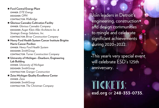û **Ford Central Energy Plant OWNER:** *DTE Energy* **DESIGNER:** *OPN* **CONTRACTOR:** *Walbridge*

û **Glorious Cannabis Cultivation Facility OWNER:** *Glorious Cannabis Company* **DESIGNER:** *Auger Klein Aller Architects Inc. & Strategic Energy Solutions, Inc.* **CONTRACTOR:** *Brivar Construction Company*

■ Henry Ford Health System Cancer Institute Brigitte **Harris Cancer Pavilion OWNER:** *Henry Ford Health System* **DESIGNER:** *SmithGroup* **CONTRACTOR:** *Turner Construction Company*

■ University of Michigan–Dearborn, Engineering **Lab Building OWNER:** *University of Michigan* **DESIGNER:** *SmithGroup*

**CONTRACTOR:** *Granger Construction*

■ Zeiss Michigan Quality Excellence Center **OWNER:** *Zeiss* **DESIGNER:** *SmithGroup* **CONTRACTOR:** *SmithGroup*<br>
CONTRACTOR: *The Christman Company* 

Join leaders in Detroit's engineering, construction • and design communities to mingle and celebrate significant achievements during 2020–2022.

This year's very special event will celebrate ESD's 125th anniversary.

**esd.org** or **248-353-0735**.